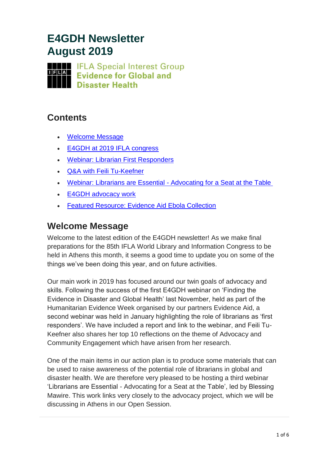# **E4GDH Newsletter August 2019**

**THE IFLA Special Interest Group Evidence for Global and Disaster Health** 

#### **Contents**

- [Welcome Message](#page-0-0)
- [E4GDH at 2019 IFLA congress](#page-1-0)
- [Webinar: Librarian First Responders](#page-2-0)
- [Q&A with Feili Tu-Keefner](#page-3-0)
- Webinar: Librarians are Essential [Advocating for a Seat at the](#page-4-0) Table
- [E4GDH advocacy work](#page-4-1)
- [Featured Resource: Evidence Aid Ebola Collection](#page-4-2)

### <span id="page-0-0"></span>**Welcome Message**

Welcome to the latest edition of the E4GDH newsletter! As we make final preparations for the 85th IFLA World Library and Information Congress to be held in Athens this month, it seems a good time to update you on some of the things we've been doing this year, and on future activities.

Our main work in 2019 has focused around our twin goals of advocacy and skills. Following the success of the first E4GDH webinar on 'Finding the Evidence in Disaster and Global Health' last November, held as part of the Humanitarian Evidence Week organised by our partners Evidence Aid, a second webinar was held in January highlighting the role of librarians as 'first responders'. We have included a report and link to the webinar, and Feili Tu-Keefner also shares her top 10 reflections on the theme of Advocacy and Community Engagement which have arisen from her research.

One of the main items in our action plan is to produce some materials that can be used to raise awareness of the potential role of librarians in global and disaster health. We are therefore very pleased to be hosting a third webinar 'Librarians are Essential - Advocating for a Seat at the Table', led by Blessing Mawire. This work links very closely to the advocacy project, which we will be discussing in Athens in our Open Session.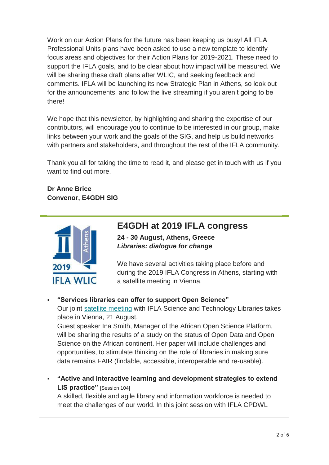Work on our Action Plans for the future has been keeping us busy! All IFLA Professional Units plans have been asked to use a new template to identify focus areas and objectives for their Action Plans for 2019-2021. These need to support the IFLA goals, and to be clear about how impact will be measured. We will be sharing these draft plans after WLIC, and seeking feedback and comments. IFLA will be launching its new Strategic Plan in Athens, so look out for the announcements, and follow the live streaming if you aren't going to be there!

We hope that this newsletter, by highlighting and sharing the expertise of our contributors, will encourage you to continue to be interested in our group, make links between your work and the goals of the SIG, and help us build networks with partners and stakeholders, and throughout the rest of the IFLA community.

Thank you all for taking the time to read it, and please get in touch with us if you want to find out more.

#### **Dr Anne Brice Convenor, E4GDH SIG**



### <span id="page-1-0"></span>**E4GDH at 2019 IFLA congress**

**24 - 30 August, Athens, Greece** *Libraries: dialogue for change*

We have several activities taking place before and during the 2019 IFLA Congress in Athens, starting with a satellite meeting in Vienna.

#### ▪ **"Services libraries can offer to support Open Science"** Our joint [satellite meeting](https://ls-os.pages.ist.ac.at/) with IFLA Science and Technology Libraries takes place in Vienna, 21 August.

Guest speaker Ina Smith, Manager of the African Open Science Platform, will be sharing the results of a study on the status of Open Data and Open Science on the African continent. Her paper will include challenges and opportunities, to stimulate thinking on the role of libraries in making sure data remains FAIR (findable, accessible, interoperable and re-usable).

▪ **"Active and interactive learning and development strategies to extend LIS practice"** [Session 104] A skilled, flexible and agile library and information workforce is needed to

meet the challenges of our world. In this joint session with IFLA CPDWL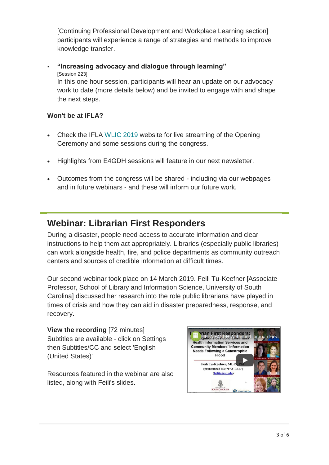[Continuing Professional Development and Workplace Learning section] participants will experience a range of strategies and methods to improve knowledge transfer.

▪ **"Increasing advocacy and dialogue through learning"** [Session 223] In this one hour session, participants will hear an update on our advocacy work to date (more details below) and be invited to engage with and shape the next steps.

#### **Won't be at IFLA?**

- Check the IFLA [WLIC 2019](https://2019.ifla.org/live-streaming/) website for live streaming of the Opening Ceremony and some sessions during the congress.
- Highlights from E4GDH sessions will feature in our next newsletter.
- Outcomes from the congress will be shared including via our webpages and in future webinars - and these will inform our future work.

### <span id="page-2-0"></span>**Webinar: Librarian First Responders**

During a disaster, people need access to accurate information and clear instructions to help them act appropriately. Libraries (especially public libraries) can work alongside health, fire, and police departments as community outreach centers and sources of credible information at difficult times.

Our second webinar took place on 14 March 2019. Feili Tu-Keefner [Associate Professor, School of Library and Information Science, University of South Carolina] discussed her research into the role public librarians have played in times of crisis and how they can aid in disaster preparedness, response, and recovery.

**View the recording** [72 minutes] Subtitles are available - click on Settings then Subtitles/CC and select 'English (United States)'

Resources featured in the webinar are also listed, along with Feili's slides.

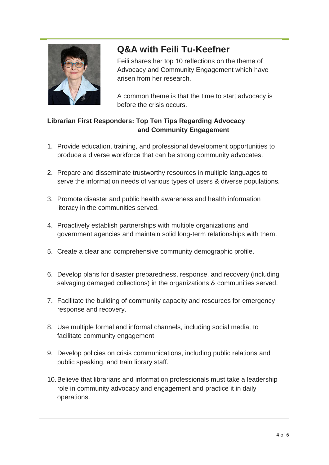

# <span id="page-3-0"></span>**Q&A with Feili Tu-Keefner**

Feili shares her top 10 reflections on the theme of Advocacy and Community Engagement which have arisen from her research.

A common theme is that the time to start advocacy is before the crisis occurs.

#### **Librarian First Responders: Top Ten Tips Regarding Advocacy and Community Engagement**

- 1. Provide education, training, and professional development opportunities to produce a diverse workforce that can be strong community advocates.
- 2. Prepare and disseminate trustworthy resources in multiple languages to serve the information needs of various types of users & diverse populations.
- 3. Promote disaster and public health awareness and health information literacy in the communities served.
- 4. Proactively establish partnerships with multiple organizations and government agencies and maintain solid long-term relationships with them.
- 5. Create a clear and comprehensive community demographic profile.
- 6. Develop plans for disaster preparedness, response, and recovery (including salvaging damaged collections) in the organizations & communities served.
- 7. Facilitate the building of community capacity and resources for emergency response and recovery.
- 8. Use multiple formal and informal channels, including social media, to facilitate community engagement.
- 9. Develop policies on crisis communications, including public relations and public speaking, and train library staff.
- 10.Believe that librarians and information professionals must take a leadership role in community advocacy and engagement and practice it in daily operations.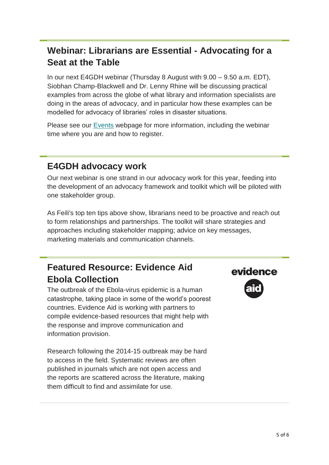# <span id="page-4-0"></span>**Webinar: Librarians are Essential - Advocating for a Seat at the Table**

In our next E4GDH webinar (Thursday 8 August with 9.00 – 9.50 a.m. EDT), Siobhan Champ-Blackwell and Dr. Lenny Rhine will be discussing practical examples from across the globe of what library and information specialists are doing in the areas of advocacy, and in particular how these examples can be modelled for advocacy of libraries' roles in disaster situations.

Please see our [Events](https://www.ifla.org/node/92335) webpage for more information, including the webinar time where you are and how to register.

### <span id="page-4-1"></span>**E4GDH advocacy work**

Our next webinar is one strand in our advocacy work for this year, feeding into the development of an advocacy framework and toolkit which will be piloted with one stakeholder group.

As Feili's top ten tips above show, librarians need to be proactive and reach out to form relationships and partnerships. The toolkit will share strategies and approaches including stakeholder mapping; advice on key messages, marketing materials and communication channels.

# <span id="page-4-2"></span>**Featured Resource: Evidence Aid Ebola Collection**

The outbreak of the Ebola-virus epidemic is a human catastrophe, taking place in some of the world's poorest countries. Evidence Aid is working with partners to compile evidence-based resources that might help with the response and improve communication and information provision.

Research following the 2014-15 outbreak may be hard to access in the field. Systematic reviews are often published in journals which are not open access and the reports are scattered across the literature, making them difficult to find and assimilate for use.

# evidence